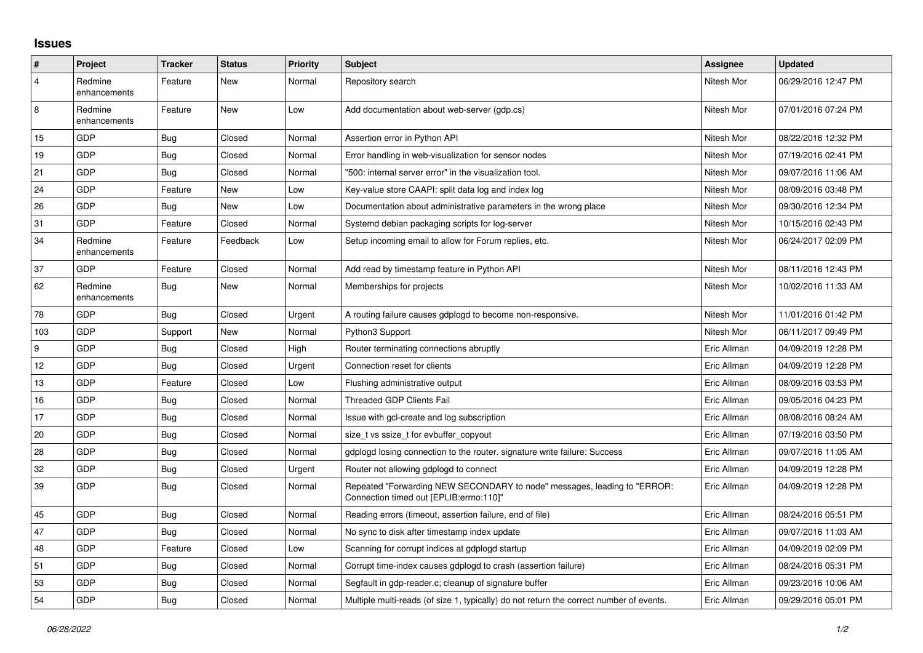## **Issues**

| $\vert$ #      | Project                 | <b>Tracker</b> | <b>Status</b> | <b>Priority</b> | <b>Subject</b>                                                                                                      | Assignee    | <b>Updated</b>      |
|----------------|-------------------------|----------------|---------------|-----------------|---------------------------------------------------------------------------------------------------------------------|-------------|---------------------|
| $\overline{4}$ | Redmine<br>enhancements | Feature        | New           | Normal          | Repository search                                                                                                   | Nitesh Mor  | 06/29/2016 12:47 PM |
| 8              | Redmine<br>enhancements | Feature        | New           | Low             | Add documentation about web-server (gdp.cs)                                                                         | Nitesh Mor  | 07/01/2016 07:24 PM |
| 15             | <b>GDP</b>              | <b>Bug</b>     | Closed        | Normal          | Assertion error in Python API                                                                                       | Nitesh Mor  | 08/22/2016 12:32 PM |
| 19             | GDP                     | Bug            | Closed        | Normal          | Error handling in web-visualization for sensor nodes                                                                | Nitesh Mor  | 07/19/2016 02:41 PM |
| 21             | GDP                     | Bug            | Closed        | Normal          | "500: internal server error" in the visualization tool.                                                             | Nitesh Mor  | 09/07/2016 11:06 AM |
| 24             | GDP                     | Feature        | New           | Low             | Key-value store CAAPI: split data log and index log                                                                 | Nitesh Mor  | 08/09/2016 03:48 PM |
| 26             | GDP                     | Bug            | New           | Low             | Documentation about administrative parameters in the wrong place                                                    | Nitesh Mor  | 09/30/2016 12:34 PM |
| 31             | GDP                     | Feature        | Closed        | Normal          | Systemd debian packaging scripts for log-server                                                                     | Nitesh Mor  | 10/15/2016 02:43 PM |
| 34             | Redmine<br>enhancements | Feature        | Feedback      | Low             | Setup incoming email to allow for Forum replies, etc.                                                               | Nitesh Mor  | 06/24/2017 02:09 PM |
| 37             | GDP                     | Feature        | Closed        | Normal          | Add read by timestamp feature in Python API                                                                         | Nitesh Mor  | 08/11/2016 12:43 PM |
| 62             | Redmine<br>enhancements | Bug            | New           | Normal          | Memberships for projects                                                                                            | Nitesh Mor  | 10/02/2016 11:33 AM |
| 78             | GDP                     | Bug            | Closed        | Urgent          | A routing failure causes gdplogd to become non-responsive.                                                          | Nitesh Mor  | 11/01/2016 01:42 PM |
| 103            | GDP                     | Support        | New           | Normal          | Python3 Support                                                                                                     | Nitesh Mor  | 06/11/2017 09:49 PM |
| 9              | GDP                     | Bug            | Closed        | High            | Router terminating connections abruptly                                                                             | Eric Allman | 04/09/2019 12:28 PM |
| 12             | GDP                     | Bug            | Closed        | Urgent          | Connection reset for clients                                                                                        | Eric Allman | 04/09/2019 12:28 PM |
| 13             | <b>GDP</b>              | Feature        | Closed        | Low             | Flushing administrative output                                                                                      | Eric Allman | 08/09/2016 03:53 PM |
| 16             | GDP                     | Bug            | Closed        | Normal          | <b>Threaded GDP Clients Fail</b>                                                                                    | Eric Allman | 09/05/2016 04:23 PM |
| 17             | GDP                     | Bug            | Closed        | Normal          | Issue with gcl-create and log subscription                                                                          | Eric Allman | 08/08/2016 08:24 AM |
| 20             | GDP                     | Bug            | Closed        | Normal          | size t vs ssize t for evbuffer copyout                                                                              | Eric Allman | 07/19/2016 03:50 PM |
| 28             | GDP                     | Bug            | Closed        | Normal          | gdplogd losing connection to the router. signature write failure: Success                                           | Eric Allman | 09/07/2016 11:05 AM |
| 32             | GDP                     | Bug            | Closed        | Urgent          | Router not allowing gdplogd to connect                                                                              | Eric Allman | 04/09/2019 12:28 PM |
| 39             | <b>GDP</b>              | <b>Bug</b>     | Closed        | Normal          | Repeated "Forwarding NEW SECONDARY to node" messages, leading to "ERROR:<br>Connection timed out [EPLIB:errno:110]" | Eric Allman | 04/09/2019 12:28 PM |
| 45             | GDP                     | Bug            | Closed        | Normal          | Reading errors (timeout, assertion failure, end of file)                                                            | Eric Allman | 08/24/2016 05:51 PM |
| 47             | GDP                     | <b>Bug</b>     | Closed        | Normal          | No sync to disk after timestamp index update                                                                        | Eric Allman | 09/07/2016 11:03 AM |
| 48             | GDP                     | Feature        | Closed        | Low             | Scanning for corrupt indices at gdplogd startup                                                                     | Eric Allman | 04/09/2019 02:09 PM |
| 51             | <b>GDP</b>              | Bug            | Closed        | Normal          | Corrupt time-index causes gdplogd to crash (assertion failure)                                                      | Eric Allman | 08/24/2016 05:31 PM |
| 53             | GDP                     | <b>Bug</b>     | Closed        | Normal          | Segfault in gdp-reader.c; cleanup of signature buffer                                                               | Eric Allman | 09/23/2016 10:06 AM |
| 54             | GDP                     | Bug            | Closed        | Normal          | Multiple multi-reads (of size 1, typically) do not return the correct number of events.                             | Eric Allman | 09/29/2016 05:01 PM |